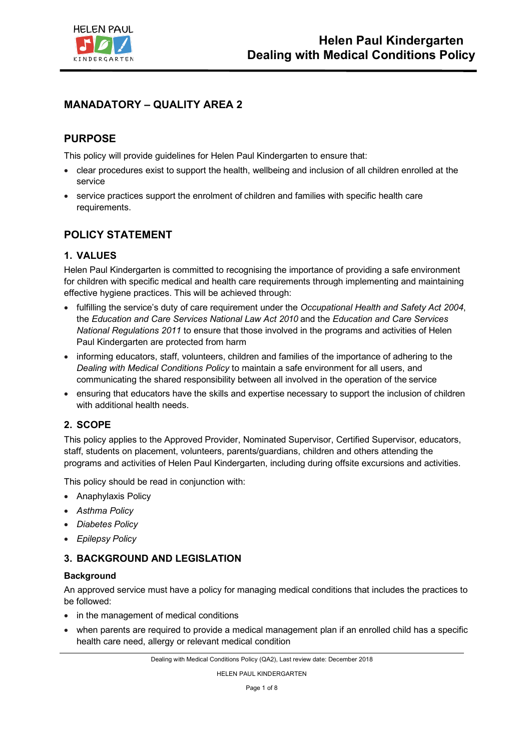

# **MANADATORY – QUALITY AREA 2**

# **PURPOSE**

This policy will provide guidelines for Helen Paul Kindergarten to ensure that:

- clear procedures exist to support the health, wellbeing and inclusion of all children enrolled at the service
- service practices support the enrolment of children and families with specific health care requirements.

## **POLICY STATEMENT**

## **1. VALUES**

Helen Paul Kindergarten is committed to recognising the importance of providing a safe environment for children with specific medical and health care requirements through implementing and maintaining effective hygiene practices. This will be achieved through:

- fulfilling the service's duty of care requirement under the *Occupational Health and Safety Act 2004*, the *Education and Care Services National Law Act 2010* and the *Education and Care Services National Regulations 2011* to ensure that those involved in the programs and activities of Helen Paul Kindergarten are protected from harm
- informing educators, staff, volunteers, children and families of the importance of adhering to the *Dealing with Medical Conditions Policy* to maintain a safe environment for all users, and communicating the shared responsibility between all involved in the operation of the service
- ensuring that educators have the skills and expertise necessary to support the inclusion of children with additional health needs.

## **2. SCOPE**

This policy applies to the Approved Provider, Nominated Supervisor, Certified Supervisor, educators, staff, students on placement, volunteers, parents/guardians, children and others attending the programs and activities of Helen Paul Kindergarten, including during offsite excursions and activities.

This policy should be read in conjunction with:

- Anaphylaxis Policy
- *Asthma Policy*
- *Diabetes Policy*
- *Epilepsy Policy*

## **3. BACKGROUND AND LEGISLATION**

#### **Background**

An approved service must have a policy for managing medical conditions that includes the practices to be followed:

- in the management of medical conditions
- when parents are required to provide a medical management plan if an enrolled child has a specific health care need, allergy or relevant medical condition

HELEN PAUL KINDERGARTEN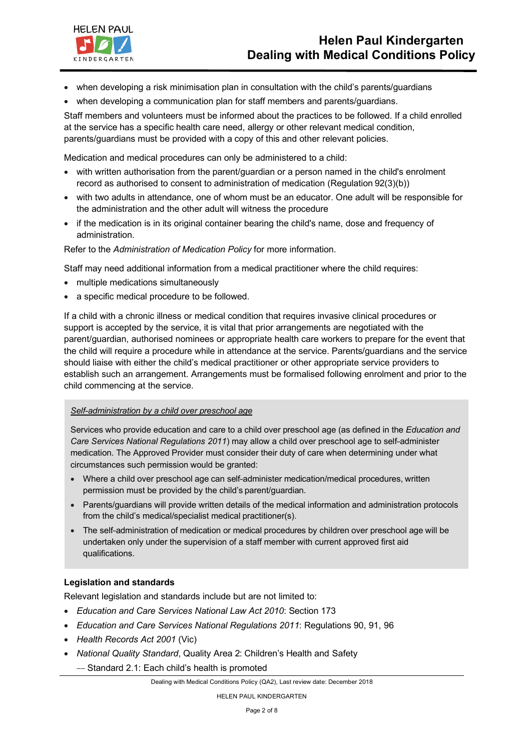

- when developing a risk minimisation plan in consultation with the child's parents/guardians
- when developing a communication plan for staff members and parents/guardians.

Staff members and volunteers must be informed about the practices to be followed. If a child enrolled at the service has a specific health care need, allergy or other relevant medical condition, parents/guardians must be provided with a copy of this and other relevant policies.

Medication and medical procedures can only be administered to a child:

- with written authorisation from the parent/guardian or a person named in the child's enrolment record as authorised to consent to administration of medication (Regulation 92(3)(b))
- with two adults in attendance, one of whom must be an educator. One adult will be responsible for the administration and the other adult will witness the procedure
- if the medication is in its original container bearing the child's name, dose and frequency of administration.

Refer to the *Administration of Medication Policy* for more information.

Staff may need additional information from a medical practitioner where the child requires:

- multiple medications simultaneously
- a specific medical procedure to be followed.

If a child with a chronic illness or medical condition that requires invasive clinical procedures or support is accepted by the service, it is vital that prior arrangements are negotiated with the parent/guardian, authorised nominees or appropriate health care workers to prepare for the event that the child will require a procedure while in attendance at the service. Parents/guardians and the service should liaise with either the child's medical practitioner or other appropriate service providers to establish such an arrangement. Arrangements must be formalised following enrolment and prior to the child commencing at the service.

#### *Self--administration by a child over preschool age*

Services who provide education and care to a child over preschool age (as defined in the *Education and Care Services National Regulations 2011*) may allow a child over preschool age to self--administer medication. The Approved Provider must consider their duty of care when determining under what circumstances such permission would be granted:

- Where a child over preschool age can self-administer medication/medical procedures, written permission must be provided by the child's parent/guardian.
- Parents/guardians will provide written details of the medical information and administration protocols from the child's medical/specialist medical practitioner(s).
- The self--administration of medication or medical procedures by children over preschool age will be undertaken only under the supervision of a staff member with current approved first aid qualifications.

#### **Legislation and standards**

Relevant legislation and standards include but are not limited to:

- *Education and Care Services National Law Act 2010*: Section 173
- *Education and Care Services National Regulations 2011*: Regulations 90, 91, 96
- *Health Records Act 2001* (Vic)
- *National Quality Standard*, Quality Area 2: Children's Health and Safety
	- -- Standard 2.1: Each child's health is promoted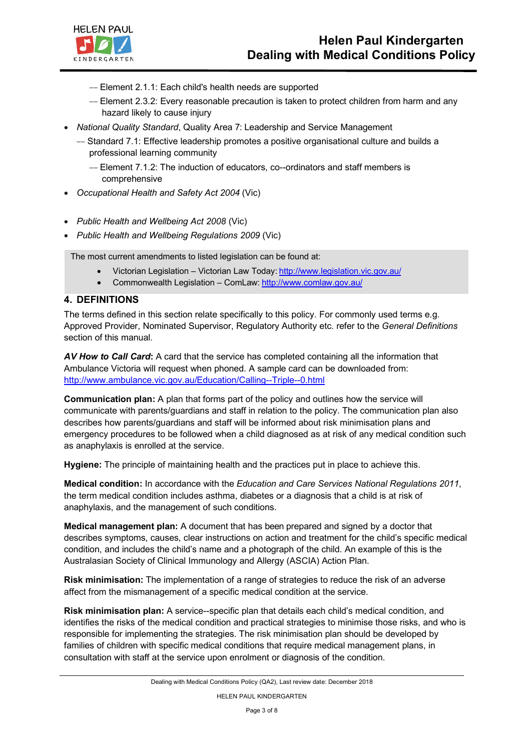- -- Element 2.1.1: Each child's health needs are supported
- -- Element 2.3.2: Every reasonable precaution is taken to protect children from harm and any hazard likely to cause injury
- *National Quality Standard*, Quality Area 7: Leadership and Service Management
	- -- Standard 7.1: Effective leadership promotes a positive organisational culture and builds a professional learning community
		- -- Element 7.1.2: The induction of educators, co--ordinators and staff members is comprehensive
- *Occupational Health and Safety Act 2004* (Vic)
- *Public Health and Wellbeing Act 2008* (Vic)
- *Public Health and Wellbeing Regulations 2009* (Vic)

The most current amendments to listed legislation can be found at:

- Victorian Legislation Victorian Law Today: http://www.legislation.vic.gov.au/
- Commonwealth Legislation ComLaw: http://www.comlaw.gov.au/

#### **4. DEFINITIONS**

**HELEN PAUL** 

KINDERGARTEN

The terms defined in this section relate specifically to this policy. For commonly used terms e.g. Approved Provider, Nominated Supervisor, Regulatory Authority etc. refer to the *General Definitions*  section of this manual.

*AV How to Call Card***:** A card that the service has completed containing all the information that Ambulance Victoria will request when phoned. A sample card can be downloaded from: http://www.ambulance.vic.gov.au/Education/Calling--Triple--0.html

**Communication plan:** A plan that forms part of the policy and outlines how the service will communicate with parents/guardians and staff in relation to the policy. The communication plan also describes how parents/guardians and staff will be informed about risk minimisation plans and emergency procedures to be followed when a child diagnosed as at risk of any medical condition such as anaphylaxis is enrolled at the service.

**Hygiene:** The principle of maintaining health and the practices put in place to achieve this.

**Medical condition:** In accordance with the *Education and Care Services National Regulations 2011*, the term medical condition includes asthma, diabetes or a diagnosis that a child is at risk of anaphylaxis, and the management of such conditions.

**Medical management plan:** A document that has been prepared and signed by a doctor that describes symptoms, causes, clear instructions on action and treatment for the child's specific medical condition, and includes the child's name and a photograph of the child. An example of this is the Australasian Society of Clinical Immunology and Allergy (ASCIA) Action Plan.

**Risk minimisation:** The implementation of a range of strategies to reduce the risk of an adverse affect from the mismanagement of a specific medical condition at the service.

**Risk minimisation plan:** A service--specific plan that details each child's medical condition, and identifies the risks of the medical condition and practical strategies to minimise those risks, and who is responsible for implementing the strategies. The risk minimisation plan should be developed by families of children with specific medical conditions that require medical management plans, in consultation with staff at the service upon enrolment or diagnosis of the condition.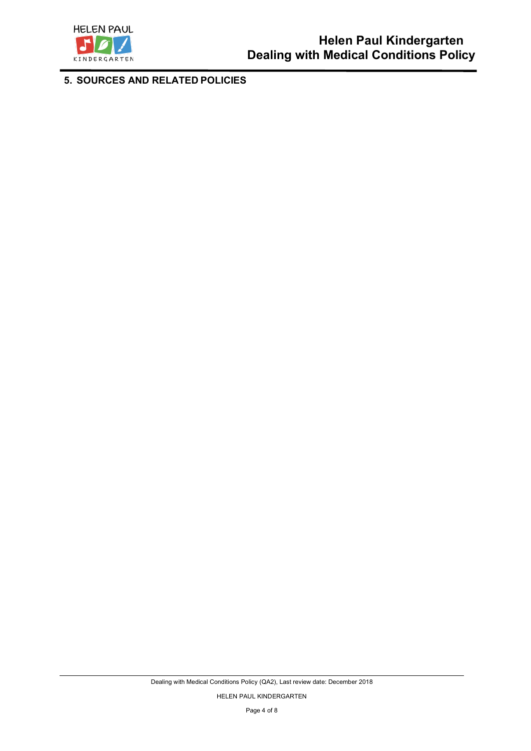

**5. SOURCES AND RELATED POLICIES**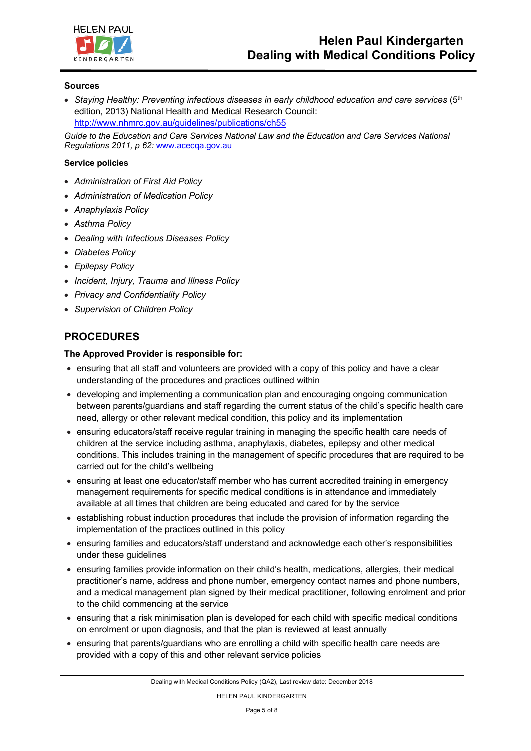

#### **Sources**

• Staying Healthy: Preventing infectious diseases in early childhood education and care services (5<sup>th</sup>) edition, 2013) National Health and Medical Research Council: http://www.nhmrc.gov.au/guidelines/publications/ch55

*Guide to the Education and Care Services National Law and the Education and Care Services National Regulations 2011, p 62:* www.acecqa.gov.au

#### **Service policies**

- *Administration of First Aid Policy*
- *Administration of Medication Policy*
- *Anaphylaxis Policy*
- *Asthma Policy*
- *Dealing with Infectious Diseases Policy*
- *Diabetes Policy*
- *Epilepsy Policy*
- *Incident, Injury, Trauma and Illness Policy*
- *Privacy and Confidentiality Policy*
- *Supervision of Children Policy*

## **PROCEDURES**

#### **The Approved Provider is responsible for:**

- ensuring that all staff and volunteers are provided with a copy of this policy and have a clear understanding of the procedures and practices outlined within
- developing and implementing a communication plan and encouraging ongoing communication between parents/guardians and staff regarding the current status of the child's specific health care need, allergy or other relevant medical condition, this policy and its implementation
- ensuring educators/staff receive regular training in managing the specific health care needs of children at the service including asthma, anaphylaxis, diabetes, epilepsy and other medical conditions. This includes training in the management of specific procedures that are required to be carried out for the child's wellbeing
- ensuring at least one educator/staff member who has current accredited training in emergency management requirements for specific medical conditions is in attendance and immediately available at all times that children are being educated and cared for by the service
- establishing robust induction procedures that include the provision of information regarding the implementation of the practices outlined in this policy
- ensuring families and educators/staff understand and acknowledge each other's responsibilities under these guidelines
- ensuring families provide information on their child's health, medications, allergies, their medical practitioner's name, address and phone number, emergency contact names and phone numbers, and a medical management plan signed by their medical practitioner, following enrolment and prior to the child commencing at the service
- ensuring that a risk minimisation plan is developed for each child with specific medical conditions on enrolment or upon diagnosis, and that the plan is reviewed at least annually
- ensuring that parents/guardians who are enrolling a child with specific health care needs are provided with a copy of this and other relevant service policies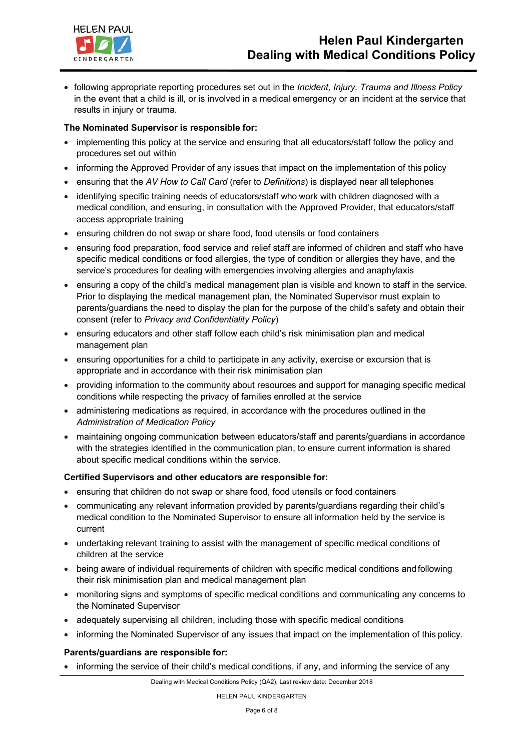

• following appropriate reporting procedures set out in the *Incident, Injury, Trauma and Illness Policy*  in the event that a child is ill, or is involved in a medical emergency or an incident at the service that results in injury or trauma.

### **The Nominated Supervisor is responsible for:**

- implementing this policy at the service and ensuring that all educators/staff follow the policy and procedures set out within
- informing the Approved Provider of any issues that impact on the implementation of this policy
- ensuring that the *AV How to Call Card* (refer to *Definitions*) is displayed near all telephones
- identifying specific training needs of educators/staff who work with children diagnosed with a medical condition, and ensuring, in consultation with the Approved Provider, that educators/staff access appropriate training
- ensuring children do not swap or share food, food utensils or food containers
- ensuring food preparation, food service and relief staff are informed of children and staff who have specific medical conditions or food allergies, the type of condition or allergies they have, and the service's procedures for dealing with emergencies involving allergies and anaphylaxis
- ensuring a copy of the child's medical management plan is visible and known to staff in the service. Prior to displaying the medical management plan, the Nominated Supervisor must explain to parents/guardians the need to display the plan for the purpose of the child's safety and obtain their consent (refer to *Privacy and Confidentiality Policy*)
- ensuring educators and other staff follow each child's risk minimisation plan and medical management plan
- ensuring opportunities for a child to participate in any activity, exercise or excursion that is appropriate and in accordance with their risk minimisation plan
- providing information to the community about resources and support for managing specific medical conditions while respecting the privacy of families enrolled at the service
- administering medications as required, in accordance with the procedures outlined in the *Administration of Medication Policy*
- maintaining ongoing communication between educators/staff and parents/guardians in accordance with the strategies identified in the communication plan, to ensure current information is shared about specific medical conditions within the service.

#### **Certified Supervisors and other educators are responsible for:**

- ensuring that children do not swap or share food, food utensils or food containers
- communicating any relevant information provided by parents/guardians regarding their child's medical condition to the Nominated Supervisor to ensure all information held by the service is current
- undertaking relevant training to assist with the management of specific medical conditions of children at the service
- being aware of individual requirements of children with specific medical conditions and following their risk minimisation plan and medical management plan
- monitoring signs and symptoms of specific medical conditions and communicating any concerns to the Nominated Supervisor
- adequately supervising all children, including those with specific medical conditions
- informing the Nominated Supervisor of any issues that impact on the implementation of this policy.

#### **Parents/guardians are responsible for:**

• informing the service of their child's medical conditions, if any, and informing the service of any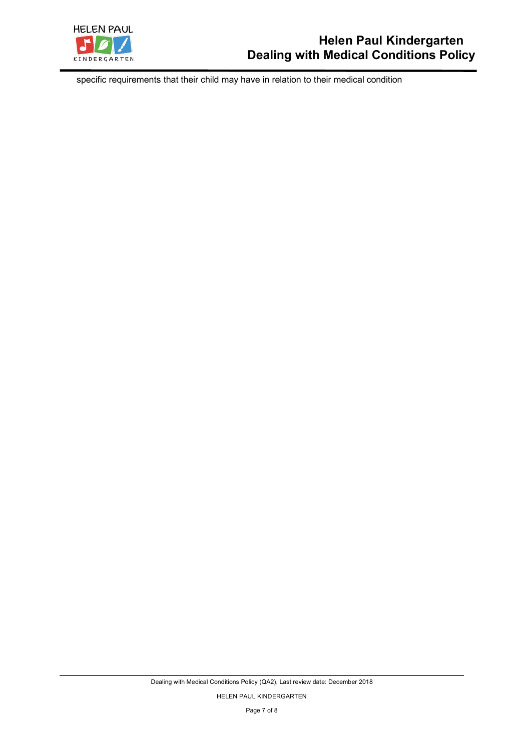

specific requirements that their child may have in relation to their medical condition